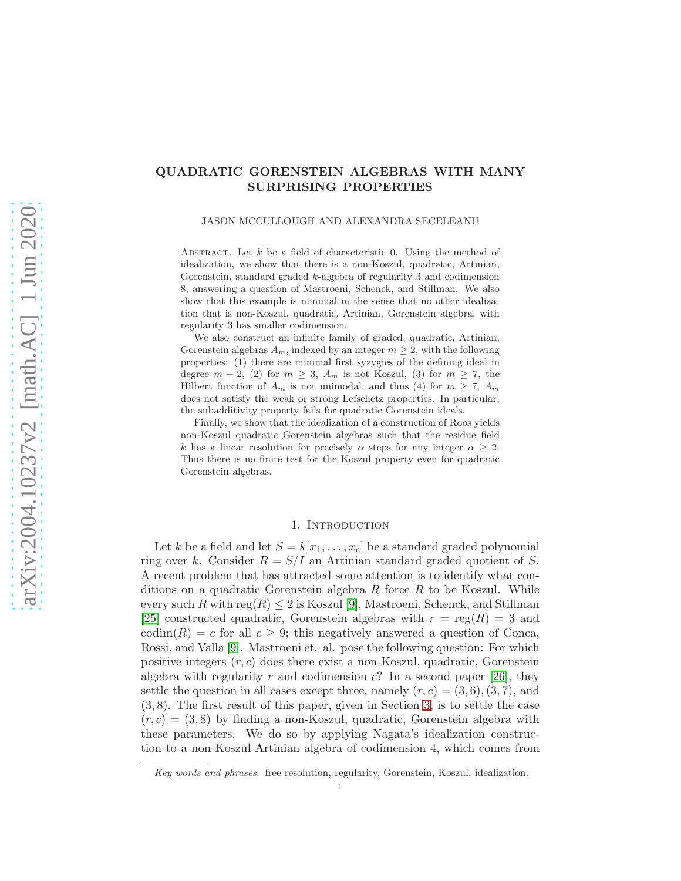# QUADRATIC GORENSTEIN ALGEBRAS WITH MANY SURPRISING PROPERTIES

JASON MCCULLOUGH AND ALEXANDRA SECELEANU

ABSTRACT. Let  $k$  be a field of characteristic 0. Using the method of idealization, we show that there is a non-Koszul, quadratic, Artinian, Gorenstein, standard graded k-algebra of regularity 3 and codimension 8, answering a question of Mastroeni, Schenck, and Stillman. We also show that this example is minimal in the sense that no other idealization that is non-Koszul, quadratic, Artinian, Gorenstein algebra, with regularity 3 has smaller codimension.

We also construct an infinite family of graded, quadratic, Artinian, Gorenstein algebras  $A_m$ , indexed by an integer  $m \geq 2$ , with the following properties: (1) there are minimal first syzygies of the defining ideal in degree  $m + 2$ , (2) for  $m \geq 3$ ,  $A_m$  is not Koszul, (3) for  $m \geq 7$ , the Hilbert function of  $A_m$  is not unimodal, and thus (4) for  $m \geq 7$ ,  $A_m$ does not satisfy the weak or strong Lefschetz properties. In particular, the subadditivity property fails for quadratic Gorenstein ideals.

Finally, we show that the idealization of a construction of Roos yields non-Koszul quadratic Gorenstein algebras such that the residue field k has a linear resolution for precisely  $\alpha$  steps for any integer  $\alpha \geq 2$ . Thus there is no finite test for the Koszul property even for quadratic Gorenstein algebras.

### 1. INTRODUCTION

Let k be a field and let  $S = k[x_1, \ldots, x_c]$  be a standard graded polynomial ring over k. Consider  $R = S/I$  an Artinian standard graded quotient of S. A recent problem that has attracted some attention is to identify what conditions on a quadratic Gorenstein algebra R force R to be Koszul. While every such R with reg $(R) \leq 2$  is Koszul [\[9\]](#page-11-0), Mastroeni, Schenck, and Stillman [\[25\]](#page-12-0) constructed quadratic, Gorenstein algebras with  $r = \text{reg}(R) = 3$  and codim(R) = c for all  $c \geq 9$ ; this negatively answered a question of Conca, Rossi, and Valla [\[9\]](#page-11-0). Mastroeni et. al. pose the following question: For which positive integers  $(r, c)$  does there exist a non-Koszul, quadratic, Gorenstein algebra with regularity r and codimension c? In a second paper [\[26\]](#page-12-1), they settle the question in all cases except three, namely  $(r, c) = (3, 6), (3, 7)$ , and (3, 8). The first result of this paper, given in Section [3,](#page-3-0) is to settle the case  $(r, c) = (3, 8)$  by finding a non-Koszul, quadratic, Gorenstein algebra with these parameters. We do so by applying Nagata's idealization construction to a non-Koszul Artinian algebra of codimension 4, which comes from

*Key words and phrases.* free resolution, regularity, Gorenstein, Koszul, idealization.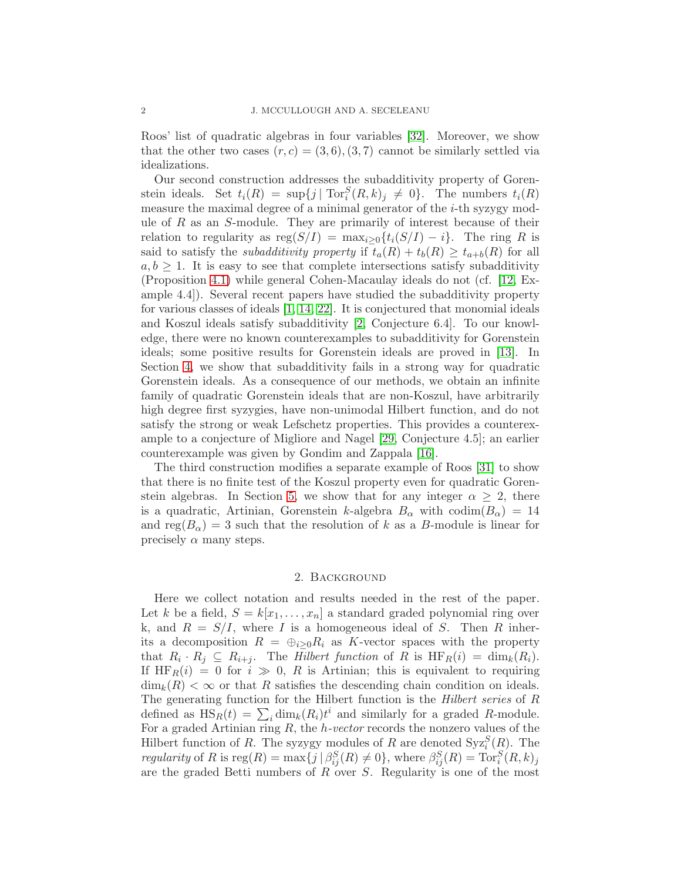Roos' list of quadratic algebras in four variables [\[32\]](#page-12-2). Moreover, we show that the other two cases  $(r, c) = (3, 6), (3, 7)$  cannot be similarly settled via idealizations.

Our second construction addresses the subadditivity property of Gorenstein ideals. Set  $t_i(R) = \sup\{j \mid \text{Tor}_i^S(R, k)_j \neq 0\}$ . The numbers  $t_i(R)$ measure the maximal degree of a minimal generator of the  $i$ -th syzygy module of  $R$  as an  $S$ -module. They are primarily of interest because of their relation to regularity as  $reg(S/I) = max_{i>0} {t_i(S/I) - i}$ . The ring R is said to satisfy the *subadditivity property* if  $t_a(R) + t_b(R) \geq t_{a+b}(R)$  for all  $a, b \geq 1$ . It is easy to see that complete intersections satisfy subadditivity (Proposition [4.1\)](#page-4-0) while general Cohen-Macaulay ideals do not (cf. [\[12,](#page-11-1) Example 4.4]). Several recent papers have studied the subadditivity property for various classes of ideals  $[1, 14, 22]$  $[1, 14, 22]$  $[1, 14, 22]$ . It is conjectured that monomial ideals and Koszul ideals satisfy subadditivity [\[2,](#page-11-4) Conjecture 6.4]. To our knowledge, there were no known counterexamples to subadditivity for Gorenstein ideals; some positive results for Gorenstein ideals are proved in [\[13\]](#page-11-5). In Section [4,](#page-4-1) we show that subadditivity fails in a strong way for quadratic Gorenstein ideals. As a consequence of our methods, we obtain an infinite family of quadratic Gorenstein ideals that are non-Koszul, have arbitrarily high degree first syzygies, have non-unimodal Hilbert function, and do not satisfy the strong or weak Lefschetz properties. This provides a counterexample to a conjecture of Migliore and Nagel [\[29,](#page-12-4) Conjecture 4.5]; an earlier counterexample was given by Gondim and Zappala [\[16\]](#page-11-6).

The third construction modifies a separate example of Roos [\[31\]](#page-12-5) to show that there is no finite test of the Koszul property even for quadratic Goren-stein algebras. In Section [5,](#page-9-0) we show that for any integer  $\alpha \geq 2$ , there is a quadratic, Artinian, Gorenstein k-algebra  $B_{\alpha}$  with  $\text{codim}(B_{\alpha}) = 14$ and reg( $B_{\alpha}$ ) = 3 such that the resolution of k as a B-module is linear for precisely  $\alpha$  many steps.

## 2. Background

Here we collect notation and results needed in the rest of the paper. Let k be a field,  $S = k[x_1, \ldots, x_n]$  a standard graded polynomial ring over k, and  $R = S/I$ , where I is a homogeneous ideal of S. Then R inherits a decomposition  $R = \bigoplus_{i>0} R_i$  as K-vector spaces with the property that  $R_i \cdot R_j \subseteq R_{i+j}$ . The Hilbert function of R is  $\text{HF}_R(i) = \dim_k(R_i)$ . If  $HF_R(i) = 0$  for  $i \gg 0$ , R is Artinian; this is equivalent to requiring  $\dim_k(R) < \infty$  or that R satisfies the descending chain condition on ideals. The generating function for the Hilbert function is the Hilbert series of R defined as  $\text{HS}_R(t) = \sum_i \dim_k(R_i)t^i$  and similarly for a graded R-module. For a graded Artinian ring  $R$ , the *h*-vector records the nonzero values of the Hilbert function of R. The syzygy modules of R are denoted  $Syz_i^S(R)$ . The regularity of R is  $reg(R) = \max\{j \mid \beta_{ij}^S(R) \neq 0\}$ , where  $\beta_{ij}^S(R) = \text{Tor}_i^S(R, k)_j$ are the graded Betti numbers of  $R$  over  $S$ . Regularity is one of the most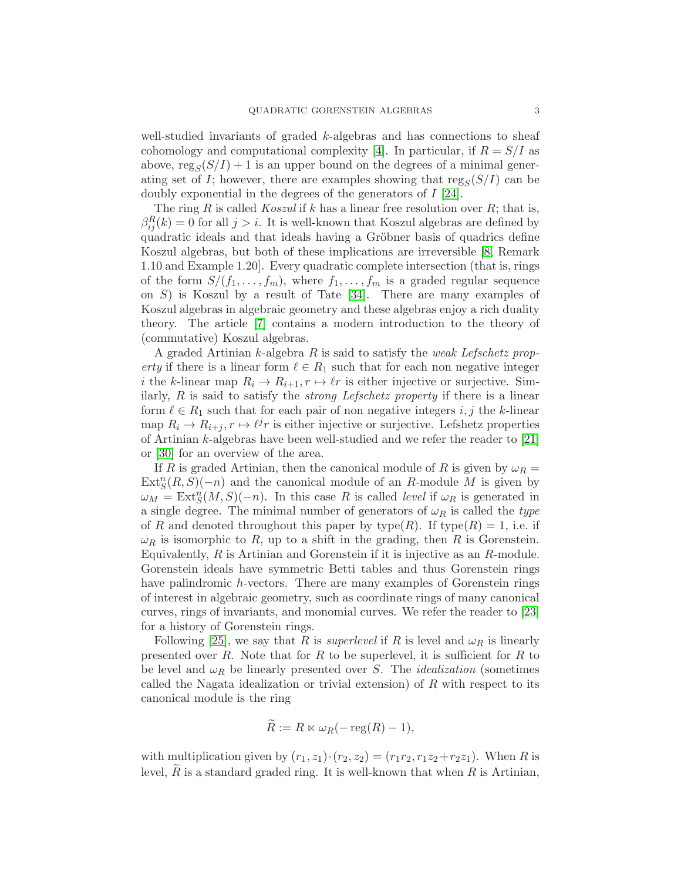well-studied invariants of graded  $k$ -algebras and has connections to sheaf cohomology and computational complexity [\[4\]](#page-11-7). In particular, if  $R = S/I$  as above,  $\text{reg}_S(S/I) + 1$  is an upper bound on the degrees of a minimal generating set of I; however, there are examples showing that  $\text{reg}_S(S/I)$  can be doubly exponential in the degrees of the generators of I [\[24\]](#page-12-6).

The ring R is called *Koszul* if k has a linear free resolution over R; that is,  $\beta_{ij}^R(k) = 0$  for all  $j > i$ . It is well-known that Koszul algebras are defined by quadratic ideals and that ideals having a Gröbner basis of quadrics define Koszul algebras, but both of these implications are irreversible [\[8,](#page-11-8) Remark 1.10 and Example 1.20]. Every quadratic complete intersection (that is, rings of the form  $S/(f_1,\ldots,f_m)$ , where  $f_1,\ldots,f_m$  is a graded regular sequence on S) is Koszul by a result of Tate [\[34\]](#page-12-7). There are many examples of Koszul algebras in algebraic geometry and these algebras enjoy a rich duality theory. The article [\[7\]](#page-11-9) contains a modern introduction to the theory of (commutative) Koszul algebras.

A graded Artinian  $k$ -algebra  $R$  is said to satisfy the weak Lefschetz property if there is a linear form  $\ell \in R_1$  such that for each non negative integer i the k-linear map  $R_i \to R_{i+1}, r \mapsto \ell r$  is either injective or surjective. Similarly,  $R$  is said to satisfy the *strong Lefschetz property* if there is a linear form  $\ell \in R_1$  such that for each pair of non negative integers i, j the k-linear map  $R_i \to R_{i+j}, r \mapsto \ell^j r$  is either injective or surjective. Lefshetz properties of Artinian k-algebras have been well-studied and we refer the reader to [\[21\]](#page-12-8) or [\[30\]](#page-12-9) for an overview of the area.

If R is graded Artinian, then the canonical module of R is given by  $\omega_R =$  $\text{Ext}^n_S(R, S)(-n)$  and the canonical module of an R-module M is given by  $\omega_M = \text{Ext}^n_S(M, S)(-n)$ . In this case R is called *level* if  $\omega_R$  is generated in a single degree. The minimal number of generators of  $\omega_R$  is called the type of R and denoted throughout this paper by type(R). If type(R) = 1, i.e. if  $\omega_R$  is isomorphic to R, up to a shift in the grading, then R is Gorenstein. Equivalently,  $R$  is Artinian and Gorenstein if it is injective as an  $R$ -module. Gorenstein ideals have symmetric Betti tables and thus Gorenstein rings have palindromic h-vectors. There are many examples of Gorenstein rings of interest in algebraic geometry, such as coordinate rings of many canonical curves, rings of invariants, and monomial curves. We refer the reader to [\[23\]](#page-12-10) for a history of Gorenstein rings.

Following [\[25\]](#page-12-0), we say that R is *superlevel* if R is level and  $\omega_R$  is linearly presented over  $R$ . Note that for  $R$  to be superlevel, it is sufficient for  $R$  to be level and  $\omega_R$  be linearly presented over S. The *idealization* (sometimes called the Nagata idealization or trivial extension) of  $R$  with respect to its canonical module is the ring

$$
\widetilde{R} := R \ltimes \omega_R(-\operatorname{reg}(R) - 1),
$$

with multiplication given by  $(r_1, z_1) \cdot (r_2, z_2) = (r_1r_2, r_1z_2+r_2z_1)$ . When R is level,  $R$  is a standard graded ring. It is well-known that when  $R$  is Artinian,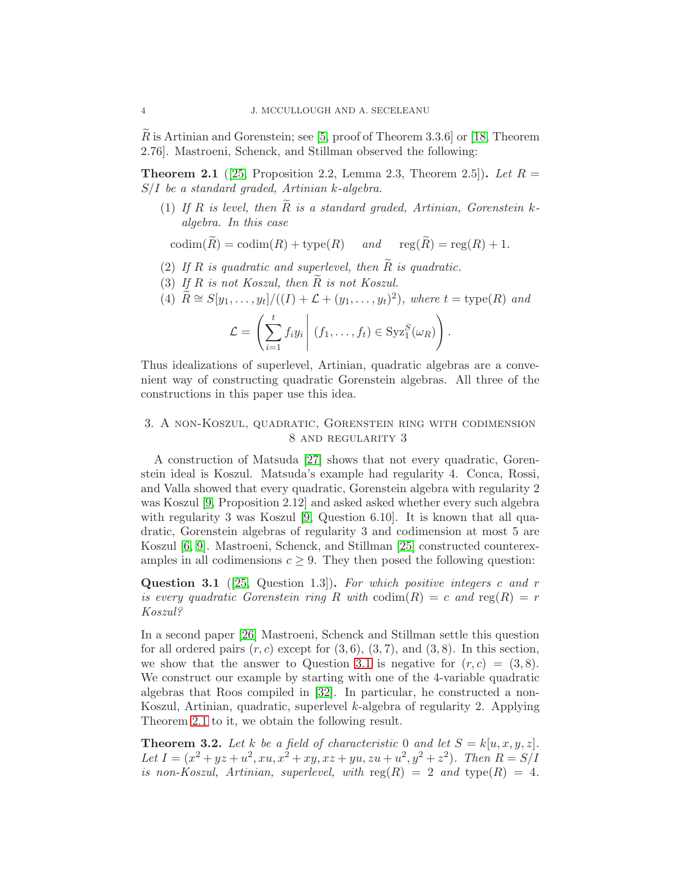R is Artinian and Gorenstein; see [\[5,](#page-11-10) proof of Theorem 3.3.6] or [\[18,](#page-11-11) Theorem 2.76]. Mastroeni, Schenck, and Stillman observed the following:

<span id="page-3-2"></span>**Theorem 2.1** ([\[25,](#page-12-0) Proposition 2.2, Lemma 2.3, Theorem 2.5]). Let  $R =$ S/I be a standard graded, Artinian k-algebra.

(1) If R is level, then R is a standard graded, Artinian, Gorenstein  $k$ algebra. In this case

 $\mathrm{codim}(\widetilde{R}) = \mathrm{codim}(R) + \mathrm{type}(R)$  and  $\mathrm{reg}(\widetilde{R}) = \mathrm{reg}(R) + 1.$ 

- (2) If R is quadratic and superlevel, then  $\tilde{R}$  is quadratic.
- (3) If R is not Koszul, then  $\widetilde{R}$  is not Koszul.

(4) 
$$
\widetilde{R} \cong S[y_1, \ldots, y_t]/((I) + \mathcal{L} + (y_1, \ldots, y_t)^2), \text{ where } t = \text{type}(R) \text{ and}
$$
  

$$
\mathcal{L} = \left( \sum_{i=1}^t f_i y_i \middle| (f_1, \ldots, f_t) \in \text{Syz}_1^S(\omega_R) \right).
$$

Thus idealizations of superlevel, Artinian, quadratic algebras are a convenient way of constructing quadratic Gorenstein algebras. All three of the constructions in this paper use this idea.

## <span id="page-3-0"></span>3. A non-Koszul, quadratic, Gorenstein ring with codimension 8 and regularity 3

A construction of Matsuda [\[27\]](#page-12-11) shows that not every quadratic, Gorenstein ideal is Koszul. Matsuda's example had regularity 4. Conca, Rossi, and Valla showed that every quadratic, Gorenstein algebra with regularity 2 was Koszul [\[9,](#page-11-0) Proposition 2.12] and asked asked whether every such algebra with regularity 3 was Koszul  $[9,$  Question 6.10. It is known that all quadratic, Gorenstein algebras of regularity 3 and codimension at most 5 are Koszul [\[6,](#page-11-12) [9\]](#page-11-0). Mastroeni, Schenck, and Stillman [\[25\]](#page-12-0) constructed counterexamples in all codimensions  $c \geq 9$ . They then posed the following question:

<span id="page-3-1"></span>**Question 3.1** ([\[25,](#page-12-0) Question 1.3]). For which positive integers c and r is every quadratic Gorenstein ring R with  $\text{codim}(R) = c$  and  $\text{reg}(R) = r$ Koszul?

In a second paper [\[26\]](#page-12-1) Mastroeni, Schenck and Stillman settle this question for all ordered pairs  $(r, c)$  except for  $(3, 6), (3, 7)$ , and  $(3, 8)$ . In this section, we show that the answer to Question [3.1](#page-3-1) is negative for  $(r, c) = (3, 8)$ . We construct our example by starting with one of the 4-variable quadratic algebras that Roos compiled in [\[32\]](#page-12-2). In particular, he constructed a non-Koszul, Artinian, quadratic, superlevel k-algebra of regularity 2. Applying Theorem [2.1](#page-3-2) to it, we obtain the following result.

**Theorem 3.2.** Let k be a field of characteristic 0 and let  $S = k[u, x, y, z]$ . Let  $I = (x^2 + yz + u^2, xu, x^2 + xy, xz + yu, zu + u^2, y^2 + z^2)$ . Then  $R = S/I$ is non-Koszul, Artinian, superlevel, with  $reg(R) = 2$  and  $type(R) = 4$ .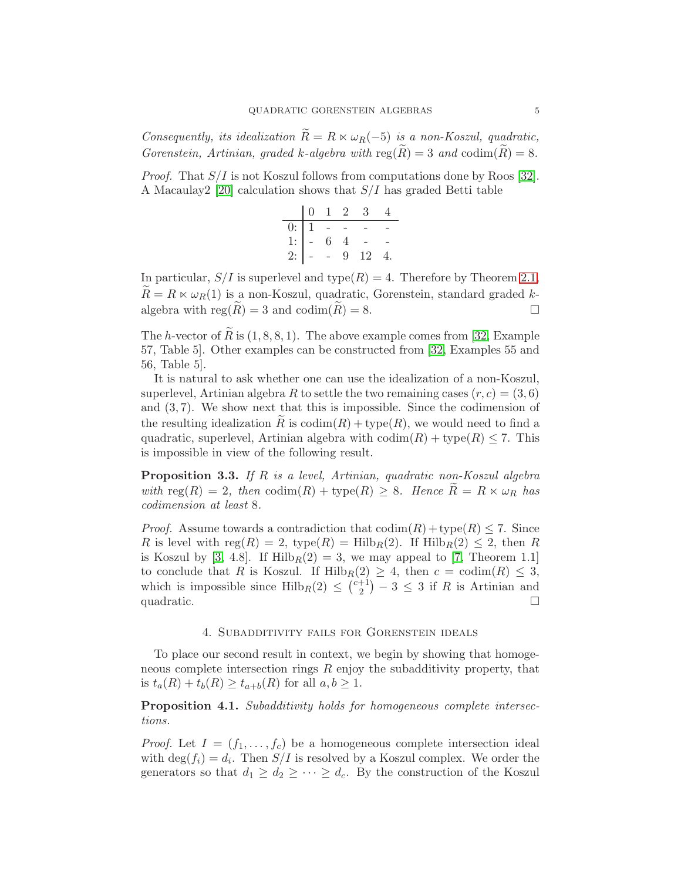Consequently, its idealization  $\widetilde{R} = R \ltimes \omega_R(-5)$  is a non-Koszul, quadratic, Gorenstein, Artinian, graded k-algebra with  $reg(\tilde{R}) = 3$  and  $codim(\tilde{R}) = 8$ .

*Proof.* That  $S/I$  is not Koszul follows from computations done by Roos [\[32\]](#page-12-2). A Macaulay  $2$  [\[20\]](#page-12-12) calculation shows that  $S/I$  has graded Betti table

|                                      |  |   | $0 \t1 \t2 \t3$ |  |
|--------------------------------------|--|---|-----------------|--|
|                                      |  |   |                 |  |
|                                      |  |   |                 |  |
| 0: $1 - 7$<br>1: $- 6 4$<br>2: $- 9$ |  | 9 | -12             |  |

In particular,  $S/I$  is superlevel and type(R) = 4. Therefore by Theorem [2.1,](#page-3-2)  $R = R \times \omega_R(1)$  is a non-Koszul, quadratic, Gorenstein, standard graded kalgebra with reg( $\hat{R}$ ) = 3 and codim( $\hat{R}$ ) = 8.

The h-vector of  $\tilde{R}$  is  $(1, 8, 8, 1)$ . The above example comes from [\[32,](#page-12-2) Example 57, Table 5]. Other examples can be constructed from [\[32,](#page-12-2) Examples 55 and 56, Table 5].

It is natural to ask whether one can use the idealization of a non-Koszul, superlevel, Artinian algebra R to settle the two remaining cases  $(r, c) = (3, 6)$ and  $(3, 7)$ . We show next that this is impossible. Since the codimension of the resulting idealization R is  $\text{codim}(R) + \text{type}(R)$ , we would need to find a quadratic, superlevel, Artinian algebra with  $\text{codim}(R) + \text{type}(R) \leq 7$ . This is impossible in view of the following result.

Proposition 3.3. If R is a level, Artinian, quadratic non-Koszul algebra with  $\text{reg}(R) = 2$ , then  $\text{codim}(R) + \text{type}(R) \geq 8$ . Hence  $R = R \ltimes \omega_R$  has codimension at least 8.

*Proof.* Assume towards a contradiction that  $\text{codim}(R) + \text{type}(R) \leq 7$ . Since R is level with reg $(R) = 2$ , type $(R) = Hilb_R(2)$ . If  $Hilb_R(2) \leq 2$ , then R is Koszul by [\[3,](#page-11-13) 4.8]. If  $Hilb_R(2) = 3$ , we may appeal to [\[7,](#page-11-9) Theorem 1.1] to conclude that R is Koszul. If  $\text{Hilb}_R(2) \geq 4$ , then  $c = \text{codim}(R) \leq 3$ , which is impossible since  $\text{Hilb}_R(2) \leq {c+1 \choose 2}$  $\binom{+1}{2}$  – 3  $\leq$  3 if R is Artinian and quadratic.  $\Box$ 

## 4. Subadditivity fails for Gorenstein ideals

<span id="page-4-1"></span>To place our second result in context, we begin by showing that homogeneous complete intersection rings  $R$  enjoy the subadditivity property, that is  $t_a(R) + t_b(R) \geq t_{a+b}(R)$  for all  $a, b \geq 1$ .

<span id="page-4-0"></span>Proposition 4.1. Subadditivity holds for homogeneous complete intersections.

*Proof.* Let  $I = (f_1, \ldots, f_c)$  be a homogeneous complete intersection ideal with  $\deg(f_i) = d_i$ . Then  $S/I$  is resolved by a Koszul complex. We order the generators so that  $d_1 \geq d_2 \geq \cdots \geq d_c$ . By the construction of the Koszul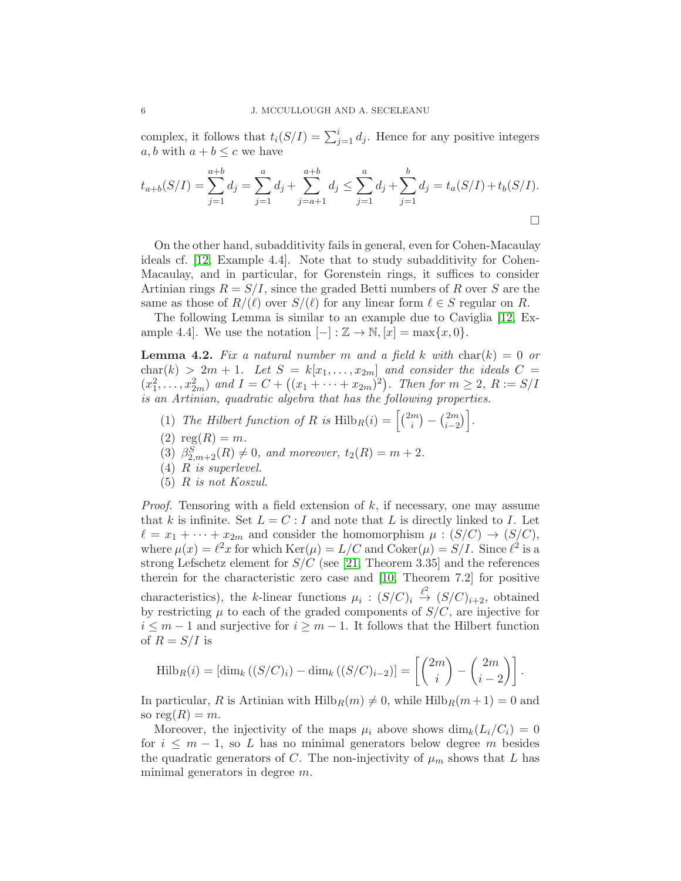complex, it follows that  $t_i(S/I) = \sum_{j=1}^i d_j$ . Hence for any positive integers a, b with  $a + b \leq c$  we have

$$
t_{a+b}(S/I) = \sum_{j=1}^{a+b} d_j = \sum_{j=1}^{a} d_j + \sum_{j=a+1}^{a+b} d_j \le \sum_{j=1}^{a} d_j + \sum_{j=1}^{b} d_j = t_a(S/I) + t_b(S/I).
$$

On the other hand, subadditivity fails in general, even for Cohen-Macaulay ideals cf. [\[12,](#page-11-1) Example 4.4]. Note that to study subadditivity for Cohen-Macaulay, and in particular, for Gorenstein rings, it suffices to consider Artinian rings  $R = S/I$ , since the graded Betti numbers of R over S are the same as those of  $R/(\ell)$  over  $S/(\ell)$  for any linear form  $\ell \in S$  regular on R.

The following Lemma is similar to an example due to Caviglia [\[12,](#page-11-1) Example 4.4]. We use the notation  $[-]: \mathbb{Z} \to \mathbb{N}, [x] = \max\{x, 0\}.$ 

<span id="page-5-0"></span>**Lemma 4.2.** Fix a natural number m and a field k with char(k) = 0 or  $char(k) > 2m + 1$ . Let  $S = k[x_1, \ldots, x_{2m}]$  and consider the ideals  $C =$  $(x_1^2, \ldots, x_{2m}^2)$  and  $I = C + ((x_1 + \cdots + x_{2m})^2)$ . Then for  $m \ge 2$ ,  $R := S/I$ is an Artinian, quadratic algebra that has the following properties.

- (1) The Hilbert function of R is  $\text{Hilb}_R(i) = \left[\binom{2m}{i}\right]$  $\binom{m}{i} - \binom{2m}{i-2}$  $\begin{bmatrix} 2m \\ i-2 \end{bmatrix}$ .
- (2)  $reg(R) = m$ .
- (3)  $\beta_{2,m+2}^{S}(R) \neq 0$ , and moreover,  $t_2(R) = m + 2$ .
- (4) R is superlevel.
- (5) R is not Koszul.

*Proof.* Tensoring with a field extension of  $k$ , if necessary, one may assume that k is infinite. Set  $L = C : I$  and note that L is directly linked to I. Let  $\ell = x_1 + \cdots + x_{2m}$  and consider the homomorphism  $\mu : (S/C) \to (S/C)$ , where  $\mu(x) = \ell^2 x$  for which  $\text{Ker}(\mu) = L/C$  and  $\text{Coker}(\mu) = S/L$ . Since  $\ell^2$  is a strong Lefschetz element for  $S/C$  (see [\[21,](#page-12-8) Theorem 3.35] and the references therein for the characteristic zero case and [\[10,](#page-11-14) Theorem 7.2] for positive characteristics), the k-linear functions  $\mu_i : (S/C)_i \stackrel{\ell^2}{\rightarrow} (S/C)_{i+2}$ , obtained by restricting  $\mu$  to each of the graded components of  $S/C$ , are injective for  $i \leq m-1$  and surjective for  $i \geq m-1$ . It follows that the Hilbert function of  $R = S/I$  is

$$
\mathrm{Hilb}_{R}(i) = \left[ \dim_{k} \left( (S/C)_{i} \right) - \dim_{k} \left( (S/C)_{i-2} \right) \right] = \left[ \binom{2m}{i} - \binom{2m}{i-2} \right].
$$

In particular, R is Artinian with  $Hilb_R(m) \neq 0$ , while  $Hilb_R(m+1) = 0$  and so  $reg(R) = m$ .

Moreover, the injectivity of the maps  $\mu_i$  above shows  $\dim_k(L_i/C_i) = 0$ for  $i \leq m-1$ , so L has no minimal generators below degree m besides the quadratic generators of C. The non-injectivity of  $\mu_m$  shows that L has minimal generators in degree m.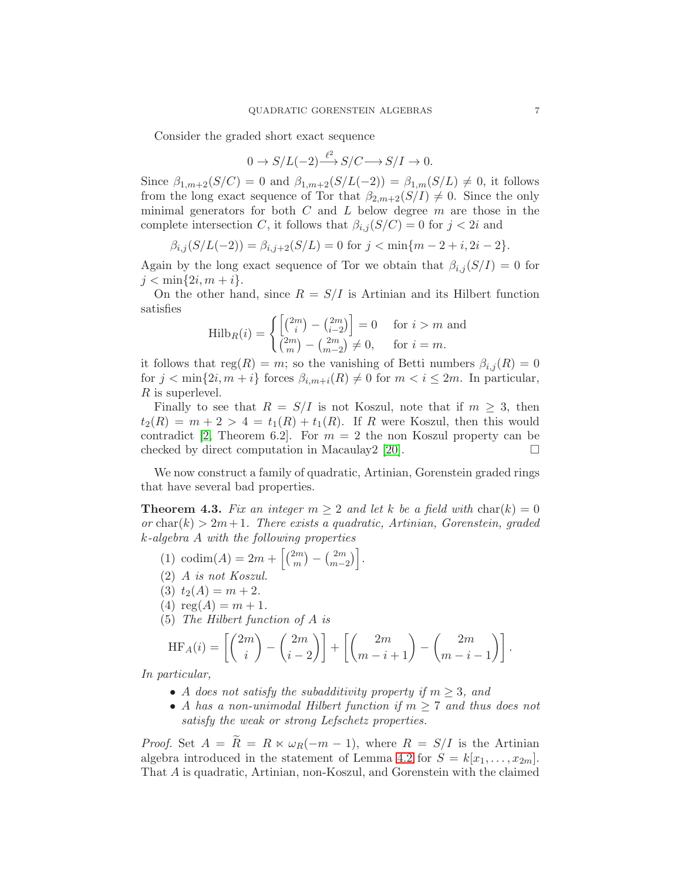Consider the graded short exact sequence

$$
0 \to S/L(-2) {\overset{\ell^2}{\longrightarrow}} S/C {\longrightarrow} S/I \to 0.
$$

Since  $\beta_{1,m+2}(S/C) = 0$  and  $\beta_{1,m+2}(S/L(-2)) = \beta_{1,m}(S/L) \neq 0$ , it follows from the long exact sequence of Tor that  $\beta_{2,m+2}(S/I) \neq 0$ . Since the only minimal generators for both  $C$  and  $L$  below degree  $m$  are those in the complete intersection C, it follows that  $\beta_{i,j}(S/C) = 0$  for  $j < 2i$  and

$$
\beta_{i,j}(S/L(-2)) = \beta_{i,j+2}(S/L) = 0 \text{ for } j < \min\{m-2+i, 2i-2\}.
$$

Again by the long exact sequence of Tor we obtain that  $\beta_{i,j}(S/I) = 0$  for  $j < \min\{2i, m+i\}.$ 

On the other hand, since  $R = S/I$  is Artinian and its Hilbert function satisfies

$$
\mathrm{Hilb}_{R}(i) = \begin{cases} \left[ \binom{2m}{i} - \binom{2m}{i-2} \right] = 0 & \text{for } i > m \text{ and} \\ \binom{2m}{m} - \binom{2m}{m-2} \neq 0, & \text{for } i = m. \end{cases}
$$

it follows that  $reg(R) = m$ ; so the vanishing of Betti numbers  $\beta_{i,j}(R) = 0$ for  $j < \min\{2i, m+i\}$  forces  $\beta_{i,m+i}(R) \neq 0$  for  $m < i \leq 2m$ . In particular, R is superlevel.

Finally to see that  $R = S/I$  is not Koszul, note that if  $m \geq 3$ , then  $t_2(R) = m + 2 > 4 = t_1(R) + t_1(R)$ . If R were Koszul, then this would contradict [\[2,](#page-11-4) Theorem 6.2]. For  $m = 2$  the non Koszul property can be checked by direct computation in Macaulay2 [\[20\]](#page-12-12).  $\Box$ 

We now construct a family of quadratic, Artinian, Gorenstein graded rings that have several bad properties.

<span id="page-6-0"></span>**Theorem 4.3.** Fix an integer  $m \geq 2$  and let k be a field with  $char(k) = 0$ or char(k)  $> 2m+1$ . There exists a quadratic, Artinian, Gorenstein, graded k-algebra A with the following properties

(1) codim(A) = 
$$
2m + \left[ {2m \choose m} - {2m \choose m-2} \right]
$$
.

- (2) A is not Koszul.
- (3)  $t_2(A) = m + 2$ .
- (4)  $reg(A) = m + 1$ .

(5) The Hilbert function of A is

$$
HF_A(i) = \left[ \binom{2m}{i} - \binom{2m}{i-2} \right] + \left[ \binom{2m}{m-i+1} - \binom{2m}{m-i-1} \right].
$$

In particular,

- A does not satisfy the subadditivity property if  $m \geq 3$ , and
- A has a non-unimodal Hilbert function if  $m \geq 7$  and thus does not satisfy the weak or strong Lefschetz properties.

*Proof.* Set  $A = \widetilde{R} = R \ltimes \omega_R(-m-1)$ , where  $R = S/I$  is the Artinian algebra introduced in the statement of Lemma [4.2](#page-5-0) for  $S = k[x_1, \ldots, x_{2m}]$ . That A is quadratic, Artinian, non-Koszul, and Gorenstein with the claimed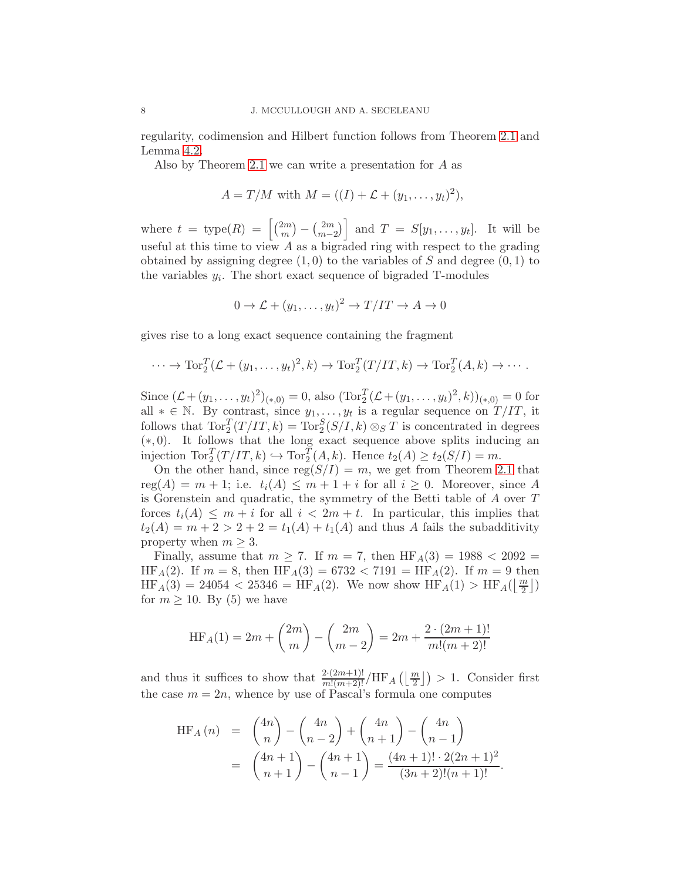regularity, codimension and Hilbert function follows from Theorem [2.1](#page-3-2) and Lemma [4.2.](#page-5-0)

Also by Theorem [2.1](#page-3-2) we can write a presentation for A as

$$
A = T/M
$$
 with  $M = ((I) + \mathcal{L} + (y_1, ..., y_t)^2)$ ,

where  $t = \text{type}(R) = \left[\binom{2m}{m}\right]$  $\binom{2m}{m} - \binom{2m}{m-1}$  $\begin{bmatrix} 2m \\ m-2 \end{bmatrix}$  and  $T = S[y_1, \ldots, y_t]$ . It will be useful at this time to view  $A$  as a bigraded ring with respect to the grading obtained by assigning degree  $(1,0)$  to the variables of S and degree  $(0,1)$  to the variables  $y_i$ . The short exact sequence of bigraded T-modules

$$
0 \to \mathcal{L} + (y_1, \dots, y_t)^2 \to T/IT \to A \to 0
$$

gives rise to a long exact sequence containing the fragment

$$
\cdots \to \operatorname{Tor}_2^T(\mathcal{L} + (y_1, \ldots, y_t)^2, k) \to \operatorname{Tor}_2^T(T/IT, k) \to \operatorname{Tor}_2^T(A, k) \to \cdots.
$$

Since  $(\mathcal{L} + (y_1, \ldots, y_t)^2)_{(*,0)} = 0$ , also  $(\text{Tor}_2^T (\mathcal{L} + (y_1, \ldots, y_t)^2, k))_{(*,0)} = 0$  for all  $* \in \mathbb{N}$ . By contrast, since  $y_1, \ldots, y_t$  is a regular sequence on  $T/IT$ , it follows that  $\text{Tor}_{2}^{T}(T/T, k) = \text{Tor}_{2}^{S}(S/T, k) \otimes_{S} T$  is concentrated in degrees (∗, 0). It follows that the long exact sequence above splits inducing an injection  $\operatorname{Tor}^T_2(T/T, k) \hookrightarrow \operatorname{Tor}^T_2(A, k)$ . Hence  $t_2(A) \ge t_2(S/I) = m$ .

On the other hand, since  $reg(S/I) = m$ , we get from Theorem [2.1](#page-3-2) that  $reg(A) = m + 1$ ; i.e.  $t_i(A) \leq m + 1 + i$  for all  $i \geq 0$ . Moreover, since A is Gorenstein and quadratic, the symmetry of the Betti table of A over T forces  $t_i(A) \leq m + i$  for all  $i < 2m + t$ . In particular, this implies that  $t_2(A) = m + 2 > 2 + 2 = t_1(A) + t_1(A)$  and thus A fails the subadditivity property when  $m \geq 3$ .

Finally, assume that  $m \ge 7$ . If  $m = 7$ , then  $HF_A(3) = 1988 < 2092 =$  $HF_A(2)$ . If  $m = 8$ , then  $HF_A(3) = 6732 < 7191 = HF_A(2)$ . If  $m = 9$  then  $\text{HF}_A(3) = 24054 < 25346 = \text{HF}_A(2)$ . We now show  $\text{HF}_A(1) > \text{HF}_A(\lfloor \frac{m}{2} \rfloor)$ for  $m \geq 10$ . By (5) we have

$$
\operatorname{HF}_A(1) = 2m + \binom{2m}{m} - \binom{2m}{m-2} = 2m + \frac{2 \cdot (2m+1)!}{m!(m+2)!}
$$

and thus it suffices to show that  $\frac{2 \cdot (2m+1)!}{m!(m+2)!} / \text{HF}_A\left(\left\lfloor \frac{m}{2} \right\rfloor\right) > 1$ . Consider first the case  $m = 2n$ , whence by use of Pascal's formula one computes

$$
HF_A(n) = {4n \choose n} - {4n \choose n-2} + {4n \choose n+1} - {4n \choose n-1}
$$
  
=  ${4n+1 \choose n+1} - {4n+1 \choose n-1} = \frac{(4n+1)! \cdot 2(2n+1)^2}{(3n+2)!(n+1)!}.$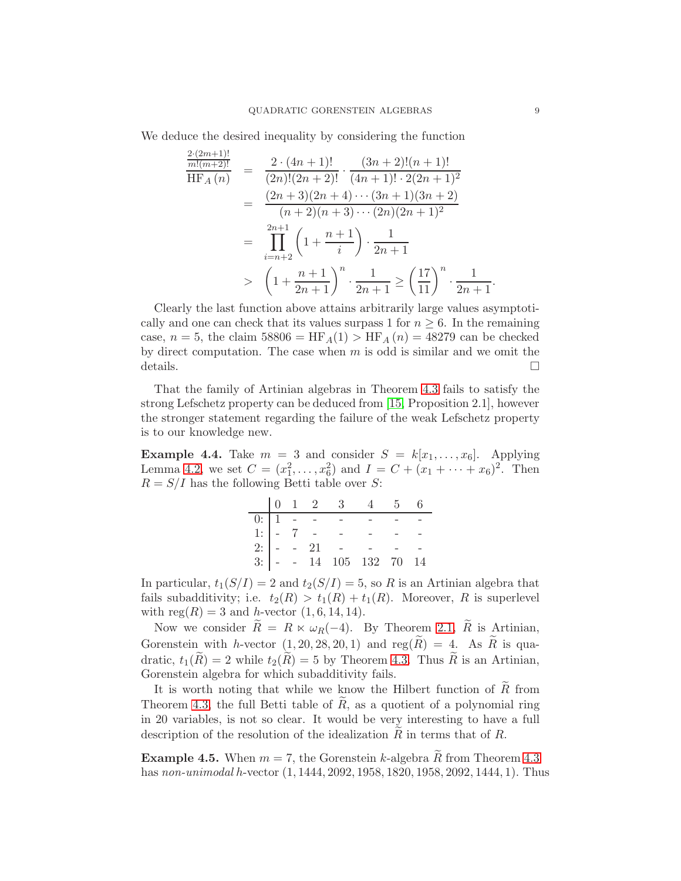We deduce the desired inequality by considering the function

$$
\frac{\frac{2 \cdot (2m+1)!}{m!(m+2)!}}{\text{HF}_A(n)} = \frac{2 \cdot (4n+1)!}{(2n)!(2n+2)!} \cdot \frac{(3n+2)!(n+1)!}{(4n+1)! \cdot 2(2n+1)^2}
$$
\n
$$
= \frac{(2n+3)(2n+4) \cdots (3n+1)(3n+2)}{(n+2)(n+3) \cdots (2n)(2n+1)^2}
$$
\n
$$
= \prod_{i=n+2}^{2n+1} \left(1 + \frac{n+1}{i}\right) \cdot \frac{1}{2n+1}
$$
\n
$$
> \left(1 + \frac{n+1}{2n+1}\right)^n \cdot \frac{1}{2n+1} \ge \left(\frac{17}{11}\right)^n \cdot \frac{1}{2n+1}.
$$

Clearly the last function above attains arbitrarily large values asymptotically and one can check that its values surpass 1 for  $n \geq 6$ . In the remaining case,  $n = 5$ , the claim 58806 = HF<sub>A</sub>(1) > HF<sub>A</sub>(n) = 48279 can be checked by direct computation. The case when  $m$  is odd is similar and we omit the details.  $\hfill \square$ 

That the family of Artinian algebras in Theorem [4.3](#page-6-0) fails to satisfy the strong Lefschetz property can be deduced from [\[15,](#page-11-15) Proposition 2.1], however the stronger statement regarding the failure of the weak Lefschetz property is to our knowledge new.

**Example 4.4.** Take  $m = 3$  and consider  $S = k[x_1, \ldots, x_6]$ . Applying Lemma [4.2,](#page-5-0) we set  $C = (x_1^2, \ldots, x_6^2)$  and  $I = C + (x_1 + \cdots + x_6)^2$ . Then  $R = S/I$  has the following Betti table over S:

|  |  | $\begin{array}{ccccccccc}\n & 0 & 1 & 2 & 3 & 4 & 5 & 6\n\end{array}$ |  |  |
|--|--|-----------------------------------------------------------------------|--|--|
|  |  |                                                                       |  |  |
|  |  |                                                                       |  |  |
|  |  |                                                                       |  |  |
|  |  |                                                                       |  |  |

In particular,  $t_1(S/I) = 2$  and  $t_2(S/I) = 5$ , so R is an Artinian algebra that fails subadditivity; i.e.  $t_2(R) > t_1(R) + t_1(R)$ . Moreover, R is superlevel with  $reg(R) = 3$  and *h*-vector  $(1, 6, 14, 14)$ .

Now we consider  $\widetilde{R} = R \ltimes \omega_R(-4)$ . By Theorem [2.1,](#page-3-2)  $\widetilde{R}$  is Artinian, Gorenstein with h-vector  $(1, 20, 28, 20, 1)$  and  $reg(\widetilde{R}) = 4$ . As  $\widetilde{R}$  is quadratic,  $t_1(R) = 2$  while  $t_2(R) = 5$  by Theorem [4.3.](#page-6-0) Thus R is an Artinian, Gorenstein algebra for which subadditivity fails.

It is worth noting that while we know the Hilbert function of  $\widetilde{R}$  from Theorem [4.3,](#page-6-0) the full Betti table of  $R$ , as a quotient of a polynomial ring in 20 variables, is not so clear. It would be very interesting to have a full description of the resolution of the idealization  $R$  in terms that of  $R$ .

**Example 4.5.** When  $m = 7$ , the Gorenstein k-algebra  $\tilde{R}$  from Theorem [4.3](#page-6-0) has non-unimodal h-vector (1, 1444, 2092, 1958, 1820, 1958, 2092, 1444, 1). Thus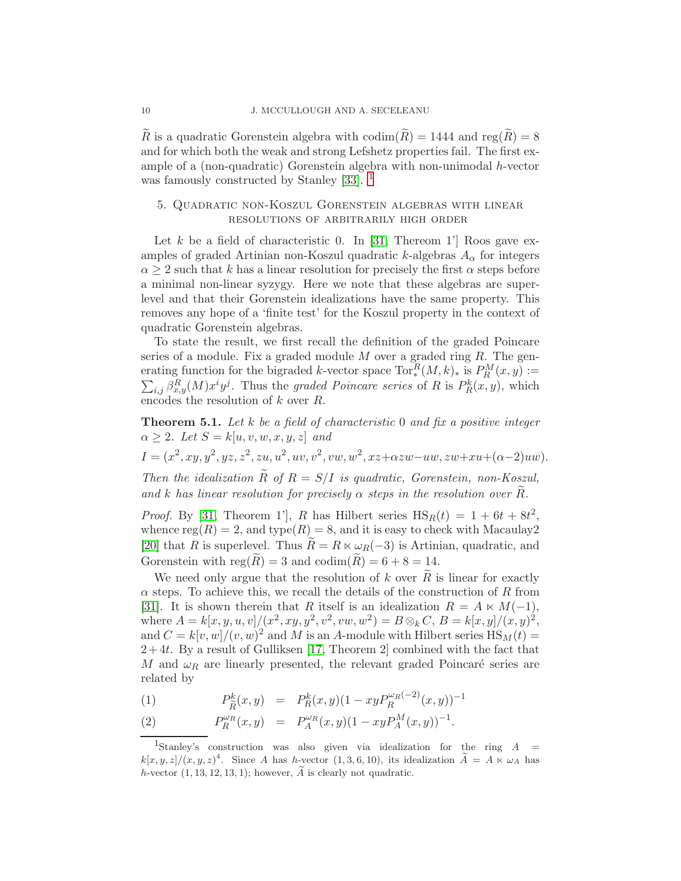R is a quadratic Gorenstein algebra with  $\text{codim}(R) = 1444$  and  $\text{reg}(R) = 8$ and for which both the weak and strong Lefshetz properties fail. The first example of a (non-quadratic) Gorenstein algebra with non-unimodal h-vector was famously constructed by Stanley [\[33\]](#page-12-13).  $\frac{1}{2}$  $\frac{1}{2}$  $\frac{1}{2}$ 

# <span id="page-9-0"></span>5. Quadratic non-Koszul Gorenstein algebras with linear resolutions of arbitrarily high order

Let k be a field of characteristic 0. In [\[31,](#page-12-5) Thereom 1'] Roos gave examples of graded Artinian non-Koszul quadratic k-algebras  $A_{\alpha}$  for integers  $\alpha \geq 2$  such that k has a linear resolution for precisely the first  $\alpha$  steps before a minimal non-linear syzygy. Here we note that these algebras are superlevel and that their Gorenstein idealizations have the same property. This removes any hope of a 'finite test' for the Koszul property in the context of quadratic Gorenstein algebras.

To state the result, we first recall the definition of the graded Poincare series of a module. Fix a graded module  $M$  over a graded ring  $R$ . The generating function for the bigraded k-vector space  $\text{Tor}_*^R(M,k)_*$  is  $P_R^M$ <br> $\sum_{i} \beta_{\alpha}^R(M) x^i y^j$ . Thus the *graded Poincare series* of R is  $P_B^k(x, y)$  $(x, y) :=$  $i,j \beta_{x,y}^R(M)x^i y^j$ . Thus the graded Poincare series of R is  $P_R^k(x,y)$ , which encodes the resolution of k over R.

**Theorem 5.1.** Let k be a field of characteristic 0 and fix a positive integer  $\alpha \geq 2$ . Let  $S = k[u, v, w, x, y, z]$  and

 $I = (x^2, xy, y^2, yz, z^2, zu, u^2, uv, v^2, vw, w^2, xz + \alpha zw - uw, zw + xu + (\alpha - 2)uw).$ 

Then the idealization  $\widetilde{R}$  of  $R = S/I$  is quadratic, Gorenstein, non-Koszul, and k has linear resolution for precisely  $\alpha$  steps in the resolution over R.

*Proof.* By [\[31,](#page-12-5) Theorem 1'], R has Hilbert series  $\text{HS}_R(t) = 1 + 6t + 8t^2$ , whence  $reg(R) = 2$ , and  $type(R) = 8$ , and it is easy to check with Macaulay2 [\[20\]](#page-12-12) that R is superlevel. Thus  $R = R \ltimes \omega_R(-3)$  is Artinian, quadratic, and Gorenstein with  $reg(R) = 3$  and  $codim(R) = 6 + 8 = 14$ .

We need only argue that the resolution of k over  $\tilde{R}$  is linear for exactly  $\alpha$  steps. To achieve this, we recall the details of the construction of R from [\[31\]](#page-12-5). It is shown therein that R itself is an idealization  $R = A \times M(-1)$ , where  $A = k[x, y, u, v]/(x^2, xy, y^2, v^2, vw, w^2) = B \otimes_k C$ ,  $B = k[x, y]/(x, y)^2$ , and  $C = k[v, w]/(v, w)^2$  and M is an A-module with Hilbert series  $\text{HS}_M(t) =$  $2+4t$ . By a result of Gulliksen [\[17,](#page-11-16) Theorem 2] combined with the fact that M and  $\omega_R$  are linearly presented, the relevant graded Poincaré series are related by

(1) 
$$
P_{\tilde{R}}^k(x,y) = P_R^k(x,y)(1 - xyP_R^{\omega_R(-2)}(x,y))^{-1}
$$

(2) 
$$
P_R^{\omega_R}(x,y) = P_A^{\omega_R}(x,y)(1 - xyP_A^M(x,y))^{-1}.
$$

<span id="page-9-1"></span><sup>&</sup>lt;sup>1</sup>Stanley's construction was also given via idealization for the ring  $A =$  $k[x, y, z]/(x, y, z)^4$ . Since A has h-vector  $(1, 3, 6, 10)$ , its idealization  $\widetilde{A} = A \times \omega_A$  has h-vector  $(1, 13, 12, 13, 1)$ ; however,  $\ddot{A}$  is clearly not quadratic.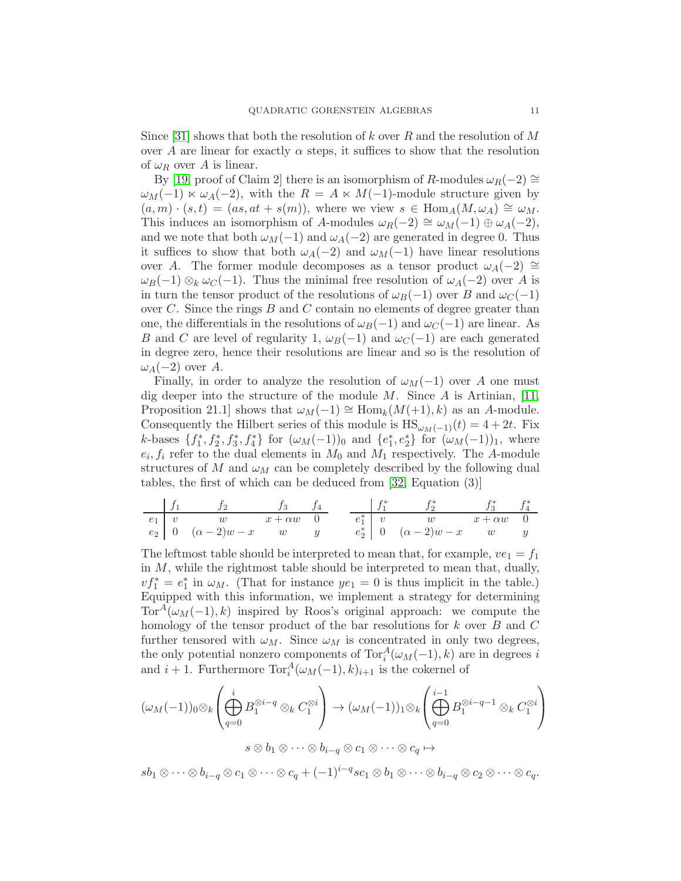Since [\[31\]](#page-12-5) shows that both the resolution of k over R and the resolution of M over A are linear for exactly  $\alpha$  steps, it suffices to show that the resolution of  $\omega_R$  over A is linear.

By [\[19,](#page-11-17) proof of Claim 2] there is an isomorphism of R-modules  $\omega_R(-2) \cong$  $\omega_M(-1) \ltimes \omega_A(-2)$ , with the  $R = A \ltimes M(-1)$ -module structure given by  $(a, m) \cdot (s, t) = (as, at + s(m))$ , where we view  $s \in \text{Hom}_{A}(M, \omega_{A}) \cong \omega_{M}$ . This induces an isomorphism of A-modules  $\omega_R(-2) \cong \omega_M(-1) \oplus \omega_A(-2)$ , and we note that both  $\omega_M(-1)$  and  $\omega_A(-2)$  are generated in degree 0. Thus it suffices to show that both  $\omega_A(-2)$  and  $\omega_M(-1)$  have linear resolutions over A. The former module decomposes as a tensor product  $\omega_A(-2) \cong$  $\omega_B(-1) \otimes_k \omega_C(-1)$ . Thus the minimal free resolution of  $\omega_A(-2)$  over A is in turn the tensor product of the resolutions of  $\omega_B(-1)$  over B and  $\omega_C(-1)$ over  $C$ . Since the rings  $B$  and  $C$  contain no elements of degree greater than one, the differentials in the resolutions of  $\omega_B(-1)$  and  $\omega_C(-1)$  are linear. As B and C are level of regularity 1,  $\omega_B(-1)$  and  $\omega_C(-1)$  are each generated in degree zero, hence their resolutions are linear and so is the resolution of  $\omega_A(-2)$  over A.

Finally, in order to analyze the resolution of  $\omega_M(-1)$  over A one must dig deeper into the structure of the module M. Since A is Artinian, [\[11,](#page-11-18) Proposition 21.1] shows that  $\omega_M(-1) \cong \text{Hom}_k(M(+1), k)$  as an A-module. Consequently the Hilbert series of this module is  $\text{HS}_{\omega_M(-1)}(t) = 4 + 2t$ . Fix k-bases  $\{f_1^*, f_2^*, f_3^*, f_4^*\}$  for  $(\omega_M(-1))_0$  and  $\{e_1^*, e_2^*\}$  for  $(\omega_M(-1))_1$ , where  $e_i, f_i$  refer to the dual elements in  $M_0$  and  $M_1$  respectively. The A-module structures of M and  $\omega_M$  can be completely described by the following dual tables, the first of which can be deduced from [\[32,](#page-12-2) Equation (3)]

| $f_1$ | $f_2$ | $f_3$               | $f_4$          | $f_1^*$ | $f_2^*$ | $f_3^*$ | $f_4^*$             |     |                |     |
|-------|-------|---------------------|----------------|---------|---------|---------|---------------------|-----|----------------|-----|
| $e_1$ | $v$   | $w$                 | $x + \alpha w$ | $0$     | $e_1^*$ | $v$     | $w$                 | $w$ | $x + \alpha w$ | $0$ |
| $e_2$ | $0$   | $(\alpha - 2)w - x$ | $w$            | $y$     | $e_2^*$ | $0$     | $(\alpha - 2)w - x$ | $w$ | $y$            |     |

The leftmost table should be interpreted to mean that, for example,  $ve_1 = f_1$ in  $M$ , while the rightmost table should be interpreted to mean that, dually,  $v f_1^* = e_1^*$  in  $\omega_M$ . (That for instance  $y e_1 = 0$  is thus implicit in the table.) Equipped with this information, we implement a strategy for determining Tor<sup>A</sup>( $\omega_M(-1)$ , k) inspired by Roos's original approach: we compute the homology of the tensor product of the bar resolutions for k over B and C further tensored with  $\omega_M$ . Since  $\omega_M$  is concentrated in only two degrees, the only potential nonzero components of  $\text{Tor}_{i}^{A}(\omega_{M}(-1), k)$  are in degrees i and  $i + 1$ . Furthermore  $\text{Tor}_{i}^{A}(\omega_{M}(-1), k)_{i+1}$  is the cokernel of

$$
(\omega_M(-1))_0 \otimes_k \left( \bigoplus_{q=0}^i B_1^{\otimes i-q} \otimes_k C_1^{\otimes i} \right) \to (\omega_M(-1))_1 \otimes_k \left( \bigoplus_{q=0}^{i-1} B_1^{\otimes i-q-1} \otimes_k C_1^{\otimes i} \right)
$$

$$
s \otimes b_1 \otimes \cdots \otimes b_{i-q} \otimes c_1 \otimes \cdots \otimes c_q \mapsto
$$

 $sb_1\otimes\cdots\otimes b_{i-q}\otimes c_1\otimes\cdots\otimes c_q+(-1)^{i-q}sc_1\otimes b_1\otimes\cdots\otimes b_{i-q}\otimes c_2\otimes\cdots\otimes c_q.$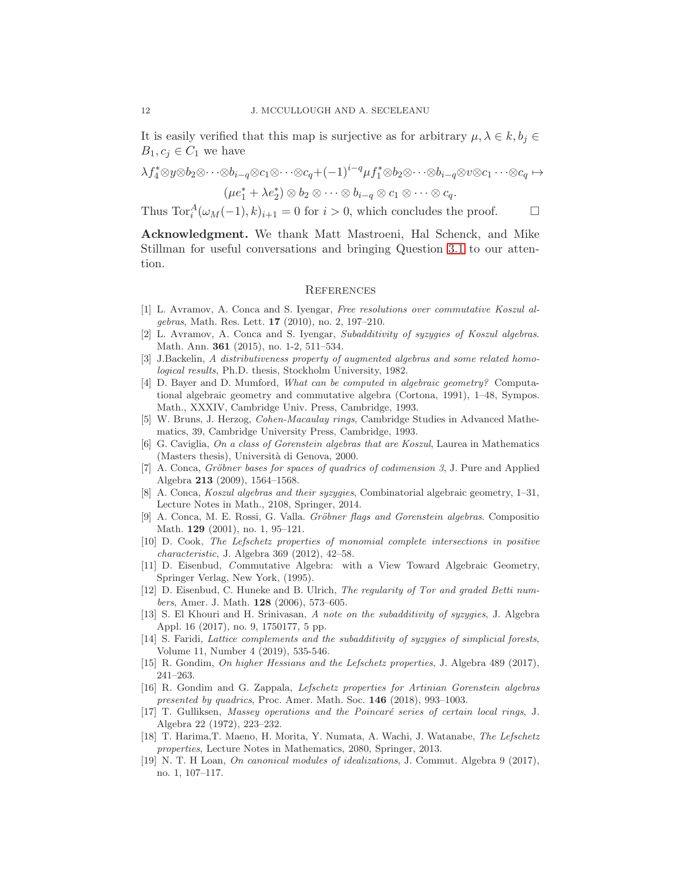It is easily verified that this map is surjective as for arbitrary  $\mu, \lambda \in k, b_i \in$  $B_1, c_i \in C_1$  we have

$$
\lambda f_4^* \otimes y \otimes b_2 \otimes \cdots \otimes b_{i-q} \otimes c_1 \otimes \cdots \otimes c_q + (-1)^{i-q} \mu f_1^* \otimes b_2 \otimes \cdots \otimes b_{i-q} \otimes v \otimes c_1 \cdots \otimes c_q \mapsto
$$
  

$$
(\mu e_1^* + \lambda e_2^*) \otimes b_2 \otimes \cdots \otimes b_{i-q} \otimes c_1 \otimes \cdots \otimes c_q.
$$

Thus  $\text{Tor}_i^A(\omega_M(-1), k)_{i+1} = 0$  for  $i > 0$ , which concludes the proof.  $\Box$ 

Acknowledgment. We thank Matt Mastroeni, Hal Schenck, and Mike Stillman for useful conversations and bringing Question [3.1](#page-3-1) to our attention.

### **REFERENCES**

- <span id="page-11-2"></span>[1] L. Avramov, A. Conca and S. Iyengar, *Free resolutions over commutative Koszul algebras*, Math. Res. Lett. 17 (2010), no. 2, 197–210.
- <span id="page-11-4"></span>[2] L. Avramov, A. Conca and S. Iyengar, *Subadditivity of syzygies of Koszul algebras*. Math. Ann. 361 (2015), no. 1-2, 511–534.
- <span id="page-11-13"></span>[3] J.Backelin, *A distributiveness property of augmented algebras and some related homological results*, Ph.D. thesis, Stockholm University, 1982.
- <span id="page-11-7"></span>[4] D. Bayer and D. Mumford, *What can be computed in algebraic geometry?* Computational algebraic geometry and commutative algebra (Cortona, 1991), 1–48, Sympos. Math., XXXIV, Cambridge Univ. Press, Cambridge, 1993.
- <span id="page-11-10"></span>[5] W. Bruns, J. Herzog, *Cohen-Macaulay rings*, Cambridge Studies in Advanced Mathematics, 39, Cambridge University Press, Cambridge, 1993.
- <span id="page-11-12"></span>[6] G. Caviglia, *On a class of Gorenstein algebras that are Koszul*, Laurea in Mathematics (Masters thesis), Università di Genova, 2000.
- <span id="page-11-9"></span>[7] A. Conca, *Gröbner bases for spaces of quadrics of codimension 3*, J. Pure and Applied Algebra 213 (2009), 1564–1568.
- <span id="page-11-8"></span>[8] A. Conca, *Koszul algebras and their syzygies*, Combinatorial algebraic geometry, 1–31, Lecture Notes in Math., 2108, Springer, 2014.
- <span id="page-11-0"></span>[9] A. Conca, M. E. Rossi, G. Valla. *Gröbner flags and Gorenstein algebras*. Compositio Math. 129 (2001), no. 1, 95–121.
- <span id="page-11-14"></span>[10] D. Cook, *The Lefschetz properties of monomial complete intersections in positive characteristic*, J. Algebra 369 (2012), 42–58.
- <span id="page-11-18"></span>[11] D. Eisenbud, *C* ommutative Algebra: with a View Toward Algebraic Geometry, Springer Verlag, New York, (1995).
- <span id="page-11-1"></span>[12] D. Eisenbud, C. Huneke and B. Ulrich, *The regularity of Tor and graded Betti numbers*, Amer. J. Math. 128 (2006), 573–605.
- <span id="page-11-5"></span>[13] S. El Khouri and H. Srinivasan, *A note on the subadditivity of syzygies*, J. Algebra Appl. 16 (2017), no. 9, 1750177, 5 pp.
- <span id="page-11-3"></span>[14] S. Faridi, *Lattice complements and the subadditivity of syzygies of simplicial forests*, Volume 11, Number 4 (2019), 535-546.
- <span id="page-11-15"></span><span id="page-11-6"></span>[15] R. Gondim, *On higher Hessians and the Lefschetz properties*, J. Algebra 489 (2017), 241–263.
- [16] R. Gondim and G. Zappala, *Lefschetz properties for Artinian Gorenstein algebras presented by quadrics*, Proc. Amer. Math. Soc. 146 (2018), 993–1003.
- <span id="page-11-16"></span>[17] T. Gulliksen, *Massey operations and the Poincaré series of certain local rings*, J. Algebra 22 (1972), 223–232.
- <span id="page-11-11"></span>[18] T. Harima,T. Maeno, H. Morita, Y. Numata, A. Wachi, J. Watanabe, *The Lefschetz properties*, Lecture Notes in Mathematics, 2080, Springer, 2013.
- <span id="page-11-17"></span>[19] N. T. H Loan, *On canonical modules of idealizations*, J. Commut. Algebra 9 (2017), no. 1, 107–117.